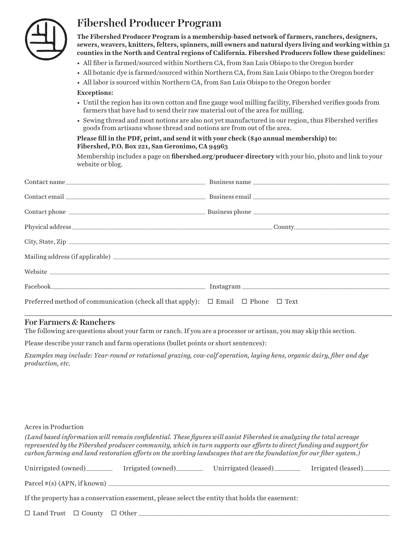

## Fibershed Producer Program

**The Fibershed Producer Program is a membership-based network of farmers, ranchers, designers, sewers, weavers, knitters, felters, spinners, mill owners and natural dyers living and working within 51 counties in the North and Central regions of California. Fibershed Producers follow these guidelines:**

- All fiber is farmed/sourced within Northern CA, from San Luis Obispo to the Oregon border
- All botanic dye is farmed/sourced within Northern CA, from San Luis Obispo to the Oregon border
- All labor is sourced within Northern CA, from San Luis Obispo to the Oregon border

## **Exceptions:**

- Until the region has its own cotton and fine gauge wool milling facility, Fibershed verifies goods from farmers that have had to send their raw material out of the area for milling.
- Sewing thread and most notions are also not yet manufactured in our region, thus Fibershed verifies goods from artisans whose thread and notions are from out of the area.

## **Please fill in the PDF, print, and send it with your check (\$40 annual membership) to: Fibershed, P.O. Box 221, San Geronimo, CA 94963**

Membership includes a page on **[fibershed.org/producer-directory](https://fibershed.org/producer-directory/)** with your bio, photo and link to your website or blog.

| City, State, Zip                                                                                                                                                                                                                     |  |
|--------------------------------------------------------------------------------------------------------------------------------------------------------------------------------------------------------------------------------------|--|
|                                                                                                                                                                                                                                      |  |
|                                                                                                                                                                                                                                      |  |
| Website <u>the contract of the contract of the contract of the contract of the contract of the contract of the contract of the contract of the contract of the contract of the contract of the contract of the contract of the c</u> |  |
|                                                                                                                                                                                                                                      |  |
|                                                                                                                                                                                                                                      |  |
| Preferred method of communication (check all that apply): $\Box$ Email $\Box$ Phone $\Box$ Text                                                                                                                                      |  |
|                                                                                                                                                                                                                                      |  |

## For Farmers & Ranchers

The following are questions about your farm or ranch. If you are a processor or artisan, you may skip this section.

Please describe your ranch and farm operations (bullet points or short sentences):

*Examples may include: Year-round or rotational grazing, cow-calf operation, laying hens, organic dairy, fiber and dye production, etc.* 

Acres in Production

*(Land based information will remain confidential. These figures will assist Fibershed in analyzing the total acreage represented by the Fibershed producer community, which in turn supports our efforts to direct funding and support for carbon farming and land restoration efforts on the working landscapes that are the foundation for our fiber system.)*

| Unirrigated (owned)            | Irrigated (owned) | Unirrigated (leased) | Irrigated (leased) |
|--------------------------------|-------------------|----------------------|--------------------|
| Parcel $\#(s)$ (APN, if known) |                   |                      |                    |
| $  -$                          |                   | .                    |                    |

If the property has a conservation easement, please select the entity that holds the easement:

 $\square$  Land Trust  $\square$  County  $\square$  Other  $\square$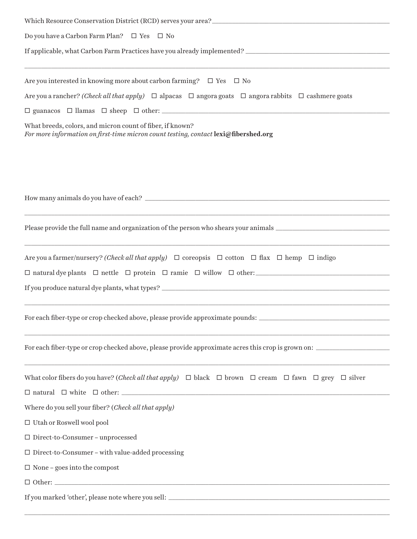| Do you have a Carbon Farm Plan? $\Box$ Yes $\Box$ No                                                                                             |
|--------------------------------------------------------------------------------------------------------------------------------------------------|
|                                                                                                                                                  |
|                                                                                                                                                  |
| Are you interested in knowing more about carbon farming? $\Box$ Yes $\Box$ No                                                                    |
| Are you a rancher? (Check all that apply) $\Box$ alpacas $\Box$ angora goats $\Box$ angora rabbits $\Box$ cashmere goats                         |
|                                                                                                                                                  |
| What breeds, colors, and micron count of fiber, if known?<br>For more information on first-time micron count testing, contact lexi@fibershed.org |
|                                                                                                                                                  |
|                                                                                                                                                  |
|                                                                                                                                                  |
|                                                                                                                                                  |
|                                                                                                                                                  |
| Please provide the full name and organization of the person who shears your animals                                                              |
|                                                                                                                                                  |
| Are you a farmer/nursery? (Check all that apply) $\Box$ coreopsis $\Box$ cotton $\Box$ flax $\Box$ hemp $\Box$ indigo                            |
| $\Box$ natural dye plants $\Box$ nettle $\Box$ protein $\Box$ ramie $\Box$ willow $\Box$ other:                                                  |
|                                                                                                                                                  |
|                                                                                                                                                  |
| For each fiber-type or crop checked above, please provide approximate pounds: ________________________________                                   |
|                                                                                                                                                  |
| For each fiber-type or crop checked above, please provide approximate acres this crop is grown on:                                               |
|                                                                                                                                                  |
| What color fibers do you have? (Check all that apply) $\Box$ black $\Box$ brown $\Box$ cream $\Box$ fawn $\Box$ grey $\Box$ silver               |
|                                                                                                                                                  |
| Where do you sell your fiber? (Check all that apply)                                                                                             |
| $\Box$ Utah or Roswell wool pool                                                                                                                 |
| □ Direct-to-Consumer - unprocessed                                                                                                               |
| $\Box$ Direct-to-Consumer – with value-added processing                                                                                          |
| $\square$ None - goes into the compost                                                                                                           |
|                                                                                                                                                  |
|                                                                                                                                                  |
|                                                                                                                                                  |

\_\_\_\_\_\_\_\_\_\_\_\_\_\_\_\_\_\_\_\_\_\_\_\_\_\_\_\_\_\_\_\_\_\_\_\_\_\_\_\_\_\_\_\_\_\_\_\_\_\_\_\_\_\_\_\_\_\_\_\_\_\_\_\_\_\_\_\_\_\_\_\_\_\_\_\_\_\_\_\_\_\_\_\_\_\_\_\_\_\_\_\_\_\_\_\_\_\_\_\_\_\_\_\_\_\_\_\_\_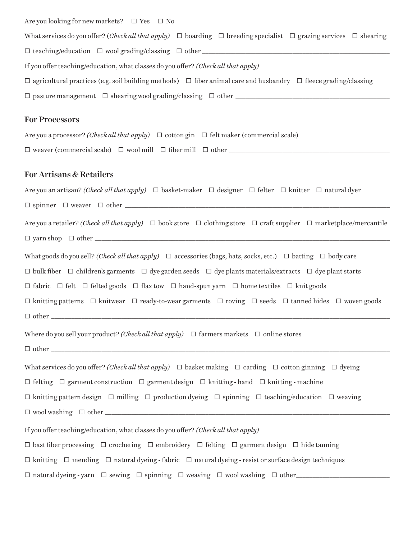| Are you looking for new markets? $\Box$ Yes $\Box$ No                                                                                    |
|------------------------------------------------------------------------------------------------------------------------------------------|
| What services do you offer? (Check all that apply) $\Box$ boarding $\Box$ breeding specialist $\Box$ grazing services $\Box$ shearing    |
|                                                                                                                                          |
| If you offer teaching/education, what classes do you offer? (Check all that apply)                                                       |
| $\Box$ agricultural practices (e.g. soil building methods) $\Box$ fiber animal care and husbandry $\Box$ fleece grading/classing         |
|                                                                                                                                          |
| <b>For Processors</b>                                                                                                                    |
| Are you a processor? <i>(Check all that apply)</i> $\Box$ cotton gin $\Box$ felt maker (commercial scale)                                |
|                                                                                                                                          |
| For Artisans & Retailers                                                                                                                 |
| Are you an artisan? (Check all that apply) $\Box$ basket-maker $\Box$ designer $\Box$ felter $\Box$ knitter $\Box$ natural dyer          |
|                                                                                                                                          |
| Are you a retailer? (Check all that apply) $\Box$ book store $\Box$ clothing store $\Box$ craft supplier $\Box$ marketplace/mercantile   |
|                                                                                                                                          |
|                                                                                                                                          |
| What goods do you sell? (Check all that apply) $\Box$ accessories (bags, hats, socks, etc.) $\Box$ batting $\Box$ body care              |
| $\Box$ bulk fiber $\Box$ children's garments $\Box$ dye garden seeds $\Box$ dye plants materials/extracts $\Box$ dye plant starts        |
| $\Box$ fabric $\Box$ felt $\Box$ felted goods $\Box$ flax tow $\Box$ hand-spun yarn $\Box$ home textiles $\Box$ knit goods               |
| $\Box$ knitting patterns $\Box$ knitwear $\Box$ ready-to-wear garments $\Box$ roving $\Box$ seeds $\Box$ tanned hides $\Box$ woven goods |
|                                                                                                                                          |
| $\Box$ other                                                                                                                             |
| Where do you sell your product? (Check all that apply) $\Box$ farmers markets $\Box$ online stores                                       |
| What services do you offer? (Check all that apply) $\Box$ basket making $\Box$ carding $\Box$ cotton ginning $\Box$ dyeing               |
| $\Box$ felting $\Box$ garment construction $\Box$ garment design $\Box$ knitting-hand $\Box$ knitting-machine                            |
| $\Box$ knitting pattern design $\Box$ milling $\Box$ production dyeing $\Box$ spinning $\Box$ teaching/education $\Box$ weaving          |
|                                                                                                                                          |
| If you offer teaching/education, what classes do you offer? (Check all that apply)                                                       |
| $\Box$ bast fiber processing $\Box$ crocheting $\Box$ embroidery $\Box$ felting $\Box$ garment design $\Box$ hide tanning                |
| $\Box$ knitting $\Box$ mending $\Box$ natural dyeing - fabric $\Box$ natural dyeing - resist or surface design techniques                |

\_\_\_\_\_\_\_\_\_\_\_\_\_\_\_\_\_\_\_\_\_\_\_\_\_\_\_\_\_\_\_\_\_\_\_\_\_\_\_\_\_\_\_\_\_\_\_\_\_\_\_\_\_\_\_\_\_\_\_\_\_\_\_\_\_\_\_\_\_\_\_\_\_\_\_\_\_\_\_\_\_\_\_\_\_\_\_\_\_\_\_\_\_\_\_\_\_\_\_\_\_\_\_\_\_\_\_\_\_